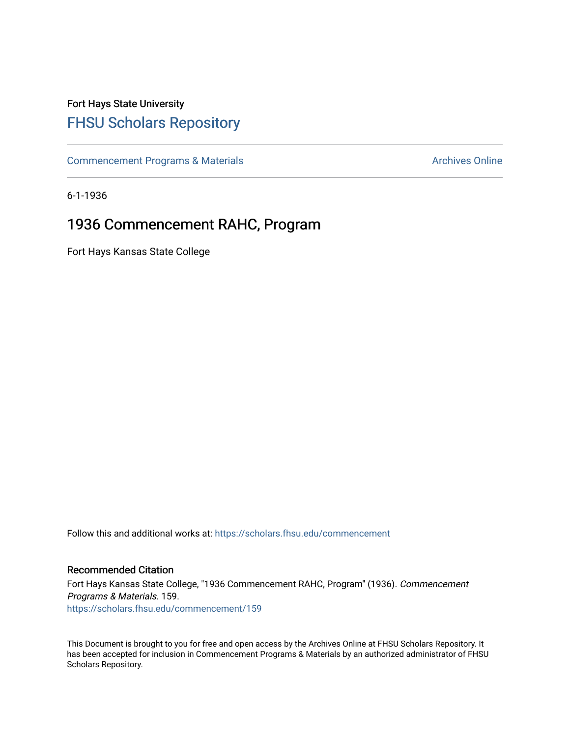## Fort Hays State University [FHSU Scholars Repository](https://scholars.fhsu.edu/)

[Commencement Programs & Materials](https://scholars.fhsu.edu/commencement) **Archives Online** Archives Online

6-1-1936

## 1936 Commencement RAHC, Program

Fort Hays Kansas State College

Follow this and additional works at: [https://scholars.fhsu.edu/commencement](https://scholars.fhsu.edu/commencement?utm_source=scholars.fhsu.edu%2Fcommencement%2F159&utm_medium=PDF&utm_campaign=PDFCoverPages)

## Recommended Citation

Fort Hays Kansas State College, "1936 Commencement RAHC, Program" (1936). Commencement Programs & Materials. 159. [https://scholars.fhsu.edu/commencement/159](https://scholars.fhsu.edu/commencement/159?utm_source=scholars.fhsu.edu%2Fcommencement%2F159&utm_medium=PDF&utm_campaign=PDFCoverPages)

This Document is brought to you for free and open access by the Archives Online at FHSU Scholars Repository. It has been accepted for inclusion in Commencement Programs & Materials by an authorized administrator of FHSU Scholars Repository.